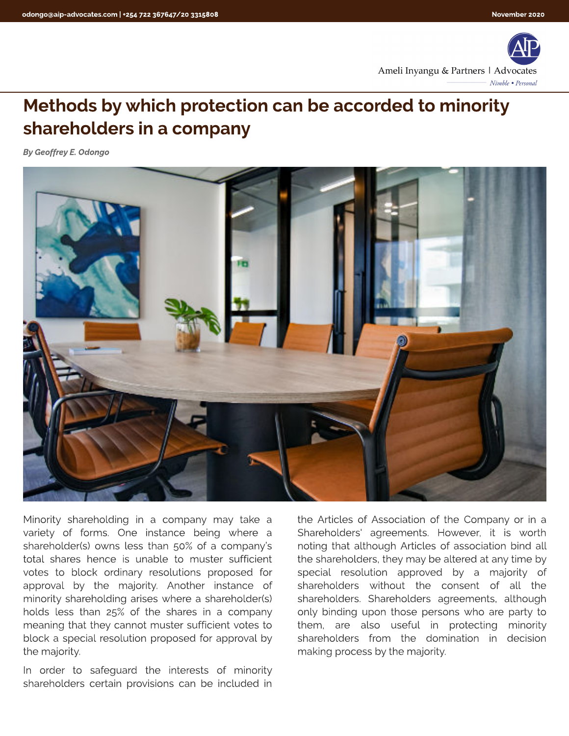

## Methods by which protection can be accorded to minority shareholders in a company

**By Geoffrey E. Odongo**



Minority shareholding in a company may take a variety of forms. One instance being where a shareholder(s) owns less than 50% of a company?s total shares hence is unable to muster sufficient votes to block ordinary resolutions proposed for approval by the majority. Another instance of minority shareholding arises where a shareholder(s) holds less than 25% of the shares in a company meaning that they cannot muster sufficient votes to block a special resolution proposed for approval by the majority.

In order to safeguard the interests of minority shareholders certain provisions can be included in

the Articles of Association of the Company or in a Shareholders' agreements. However, it is worth noting that although Articles of association bind all the shareholders, they may be altered at any time by special resolution approved by a majority of shareholders without the consent of all the shareholders. Shareholders agreements, although only binding upon those persons who are party to them, are also useful in protecting minority shareholders from the domination in decision making process by the majority.